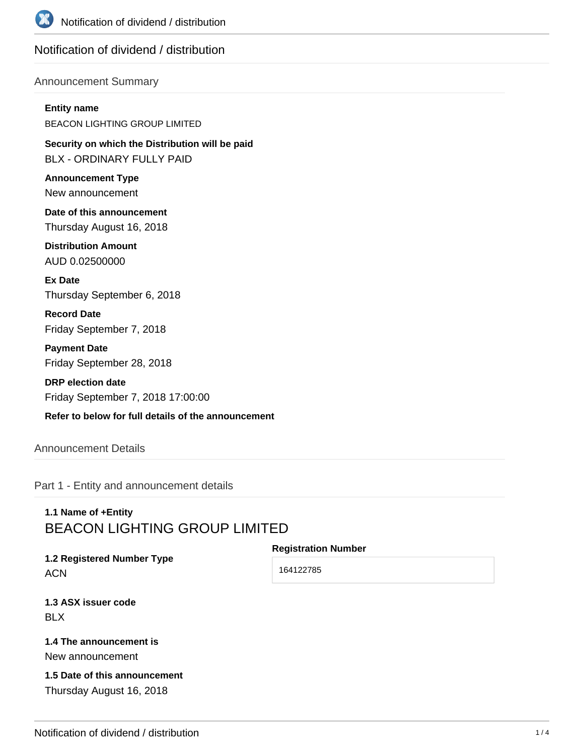

# Notification of dividend / distribution

#### Announcement Summary

#### **Entity name**

BEACON LIGHTING GROUP LIMITED

**Security on which the Distribution will be paid** BLX - ORDINARY FULLY PAID

**Announcement Type** New announcement

**Date of this announcement** Thursday August 16, 2018

**Distribution Amount** AUD 0.02500000

**Ex Date** Thursday September 6, 2018

**Record Date** Friday September 7, 2018

**Payment Date** Friday September 28, 2018

**DRP election date** Friday September 7, 2018 17:00:00

## **Refer to below for full details of the announcement**

## Announcement Details

Part 1 - Entity and announcement details

# **1.1 Name of +Entity** BEACON LIGHTING GROUP LIMITED

#### **Registration Number**

**1.2 Registered Number Type ACN** 

164122785

**1.3 ASX issuer code** BLX

# **1.4 The announcement is**

New announcement

## **1.5 Date of this announcement** Thursday August 16, 2018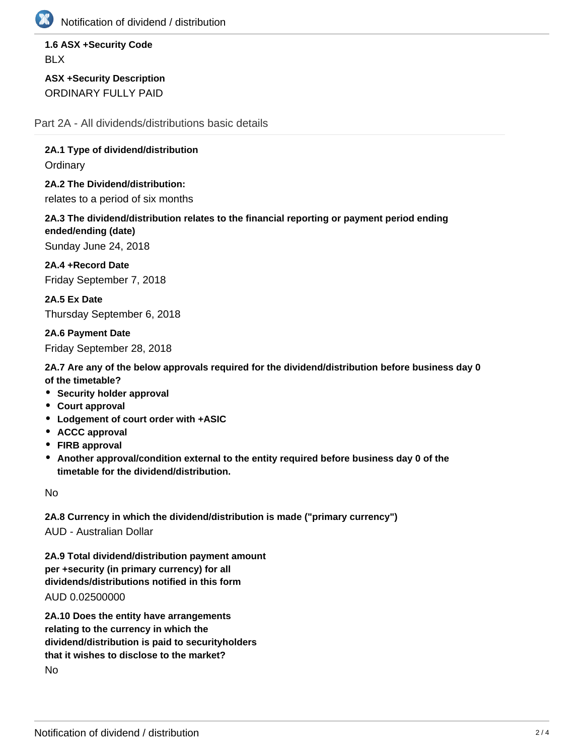

Notification of dividend / distribution

**1.6 ASX +Security Code** BLX

**ASX +Security Description** ORDINARY FULLY PAID

Part 2A - All dividends/distributions basic details

**2A.1 Type of dividend/distribution**

**Ordinary** 

**2A.2 The Dividend/distribution:** relates to a period of six months

**2A.3 The dividend/distribution relates to the financial reporting or payment period ending ended/ending (date)**

Sunday June 24, 2018

**2A.4 +Record Date** Friday September 7, 2018

**2A.5 Ex Date** Thursday September 6, 2018

**2A.6 Payment Date** Friday September 28, 2018

**2A.7 Are any of the below approvals required for the dividend/distribution before business day 0 of the timetable?**

- **Security holder approval**
- **Court approval**
- **Lodgement of court order with +ASIC**
- **ACCC approval**
- **FIRB approval**
- **Another approval/condition external to the entity required before business day 0 of the timetable for the dividend/distribution.**

No

**2A.8 Currency in which the dividend/distribution is made ("primary currency")** AUD - Australian Dollar

**2A.9 Total dividend/distribution payment amount per +security (in primary currency) for all**

**dividends/distributions notified in this form**

AUD 0.02500000

**2A.10 Does the entity have arrangements relating to the currency in which the dividend/distribution is paid to securityholders that it wishes to disclose to the market?** No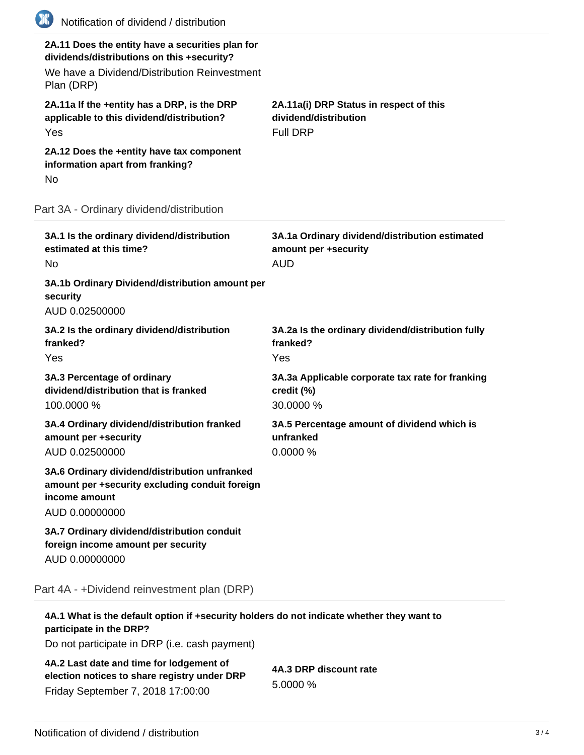| (K)<br>Notification of dividend / distribution                                                                                                               |                                                                                      |
|--------------------------------------------------------------------------------------------------------------------------------------------------------------|--------------------------------------------------------------------------------------|
| 2A.11 Does the entity have a securities plan for<br>dividends/distributions on this +security?<br>We have a Dividend/Distribution Reinvestment<br>Plan (DRP) |                                                                                      |
| 2A.11a If the +entity has a DRP, is the DRP<br>applicable to this dividend/distribution?<br>Yes                                                              | 2A.11a(i) DRP Status in respect of this<br>dividend/distribution<br><b>Full DRP</b>  |
| 2A.12 Does the +entity have tax component<br>information apart from franking?<br>No                                                                          |                                                                                      |
| Part 3A - Ordinary dividend/distribution                                                                                                                     |                                                                                      |
| 3A.1 Is the ordinary dividend/distribution<br>estimated at this time?<br>No                                                                                  | 3A.1a Ordinary dividend/distribution estimated<br>amount per +security<br><b>AUD</b> |
| 3A.1b Ordinary Dividend/distribution amount per<br>security<br>AUD 0.02500000                                                                                |                                                                                      |
| 3A.2 Is the ordinary dividend/distribution<br>franked?<br>Yes                                                                                                | 3A.2a Is the ordinary dividend/distribution fully<br>franked?<br>Yes                 |
| 3A.3 Percentage of ordinary<br>dividend/distribution that is franked<br>100.0000 %                                                                           | 3A.3a Applicable corporate tax rate for franking<br>credit (%)<br>30.0000 %          |
| 3A.4 Ordinary dividend/distribution franked<br>amount per +security<br>AUD 0.02500000                                                                        | 3A.5 Percentage amount of dividend which is<br>unfranked<br>0.0000 %                 |
| 3A.6 Ordinary dividend/distribution unfranked<br>amount per +security excluding conduit foreign<br>income amount<br>AUD 0.00000000                           |                                                                                      |
| 3A.7 Ordinary dividend/distribution conduit<br>foreign income amount per security<br>AUD 0.00000000                                                          |                                                                                      |
| Part 4A - +Dividend reinvestment plan (DRP)                                                                                                                  |                                                                                      |
| 4A.1 What is the default option if +security holders do not indicate whether they want to<br>participate in the DRP?                                         |                                                                                      |

Do not participate in DRP (i.e. cash payment)

**4A.2 Last date and time for lodgement of election notices to share registry under DRP** Friday September 7, 2018 17:00:00

**4A.3 DRP discount rate** 5.0000 %